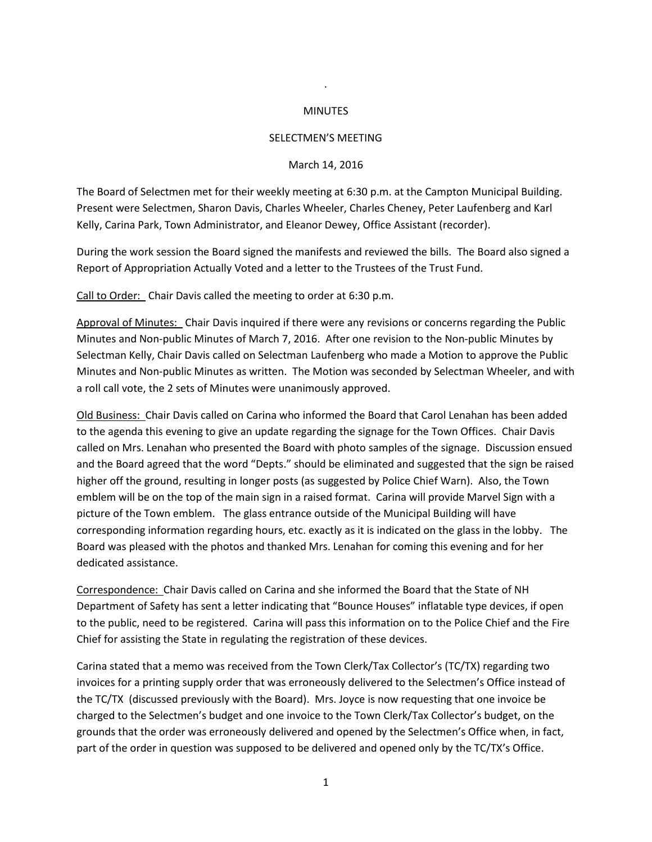## MINUTES

.

## SELECTMEN'S MEETING

## March 14, 2016

The Board of Selectmen met for their weekly meeting at 6:30 p.m. at the Campton Municipal Building. Present were Selectmen, Sharon Davis, Charles Wheeler, Charles Cheney, Peter Laufenberg and Karl Kelly, Carina Park, Town Administrator, and Eleanor Dewey, Office Assistant (recorder).

During the work session the Board signed the manifests and reviewed the bills. The Board also signed a Report of Appropriation Actually Voted and a letter to the Trustees of the Trust Fund.

Call to Order: Chair Davis called the meeting to order at 6:30 p.m.

Approval of Minutes: Chair Davis inquired if there were any revisions or concerns regarding the Public Minutes and Non-public Minutes of March 7, 2016. After one revision to the Non-public Minutes by Selectman Kelly, Chair Davis called on Selectman Laufenberg who made a Motion to approve the Public Minutes and Non-public Minutes as written. The Motion was seconded by Selectman Wheeler, and with a roll call vote, the 2 sets of Minutes were unanimously approved.

Old Business: Chair Davis called on Carina who informed the Board that Carol Lenahan has been added to the agenda this evening to give an update regarding the signage for the Town Offices. Chair Davis called on Mrs. Lenahan who presented the Board with photo samples of the signage. Discussion ensued and the Board agreed that the word "Depts." should be eliminated and suggested that the sign be raised higher off the ground, resulting in longer posts (as suggested by Police Chief Warn). Also, the Town emblem will be on the top of the main sign in a raised format. Carina will provide Marvel Sign with a picture of the Town emblem. The glass entrance outside of the Municipal Building will have corresponding information regarding hours, etc. exactly as it is indicated on the glass in the lobby. The Board was pleased with the photos and thanked Mrs. Lenahan for coming this evening and for her dedicated assistance.

Correspondence: Chair Davis called on Carina and she informed the Board that the State of NH Department of Safety has sent a letter indicating that "Bounce Houses" inflatable type devices, if open to the public, need to be registered. Carina will pass this information on to the Police Chief and the Fire Chief for assisting the State in regulating the registration of these devices.

Carina stated that a memo was received from the Town Clerk/Tax Collector's (TC/TX) regarding two invoices for a printing supply order that was erroneously delivered to the Selectmen's Office instead of the TC/TX (discussed previously with the Board). Mrs. Joyce is now requesting that one invoice be charged to the Selectmen's budget and one invoice to the Town Clerk/Tax Collector's budget, on the grounds that the order was erroneously delivered and opened by the Selectmen's Office when, in fact, part of the order in question was supposed to be delivered and opened only by the TC/TX's Office.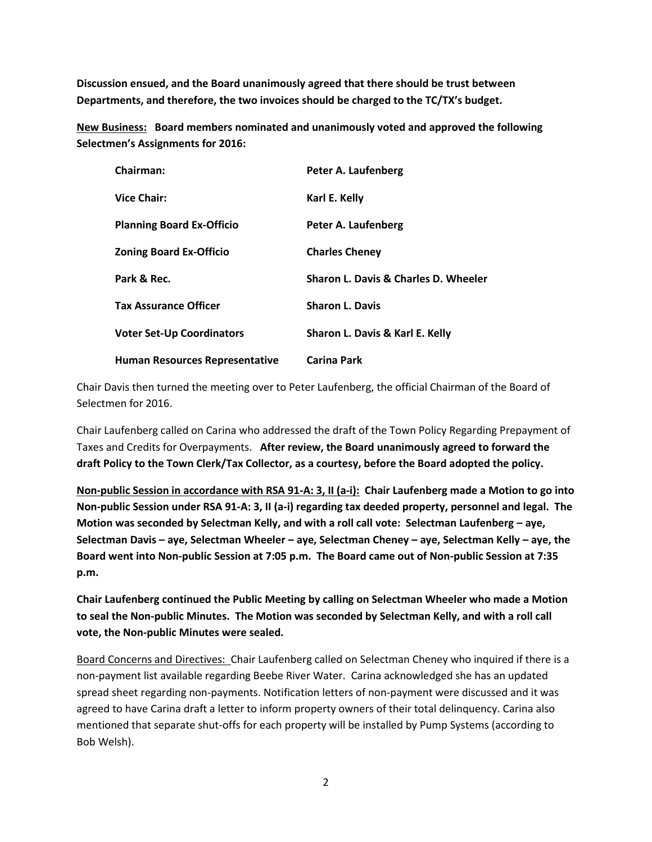**Discussion ensued, and the Board unanimously agreed that there should be trust between Departments, and therefore, the two invoices should be charged to the TC/TX's budget.** 

**New Business: Board members nominated and unanimously voted and approved the following Selectmen's Assignments for 2016:**

| Chairman:                        | Peter A. Laufenberg                  |
|----------------------------------|--------------------------------------|
| <b>Vice Chair:</b>               | Karl E. Kelly                        |
| <b>Planning Board Ex-Officio</b> | Peter A. Laufenberg                  |
| <b>Zoning Board Ex-Officio</b>   | <b>Charles Cheney</b>                |
| Park & Rec.                      | Sharon L. Davis & Charles D. Wheeler |
| <b>Tax Assurance Officer</b>     | <b>Sharon L. Davis</b>               |
| <b>Voter Set-Up Coordinators</b> | Sharon L. Davis & Karl E. Kelly      |
| Human Resources Representative   | <b>Carina Park</b>                   |

Chair Davis then turned the meeting over to Peter Laufenberg, the official Chairman of the Board of Selectmen for 2016.

Chair Laufenberg called on Carina who addressed the draft of the Town Policy Regarding Prepayment of Taxes and Credits for Overpayments. **After review, the Board unanimously agreed to forward the draft Policy to the Town Clerk/Tax Collector, as a courtesy, before the Board adopted the policy.** 

**Non-public Session in accordance with RSA 91-A: 3, II (a-i): Chair Laufenberg made a Motion to go into Non-public Session under RSA 91-A: 3, II (a-i) regarding tax deeded property, personnel and legal. The Motion was seconded by Selectman Kelly, and with a roll call vote: Selectman Laufenberg – aye, Selectman Davis – aye, Selectman Wheeler – aye, Selectman Cheney – aye, Selectman Kelly – aye, the Board went into Non-public Session at 7:05 p.m. The Board came out of Non-public Session at 7:35 p.m.**

**Chair Laufenberg continued the Public Meeting by calling on Selectman Wheeler who made a Motion to seal the Non-public Minutes. The Motion was seconded by Selectman Kelly, and with a roll call vote, the Non-public Minutes were sealed.**

Board Concerns and Directives: Chair Laufenberg called on Selectman Cheney who inquired if there is a non-payment list available regarding Beebe River Water. Carina acknowledged she has an updated spread sheet regarding non-payments. Notification letters of non-payment were discussed and it was agreed to have Carina draft a letter to inform property owners of their total delinquency. Carina also mentioned that separate shut-offs for each property will be installed by Pump Systems (according to Bob Welsh).